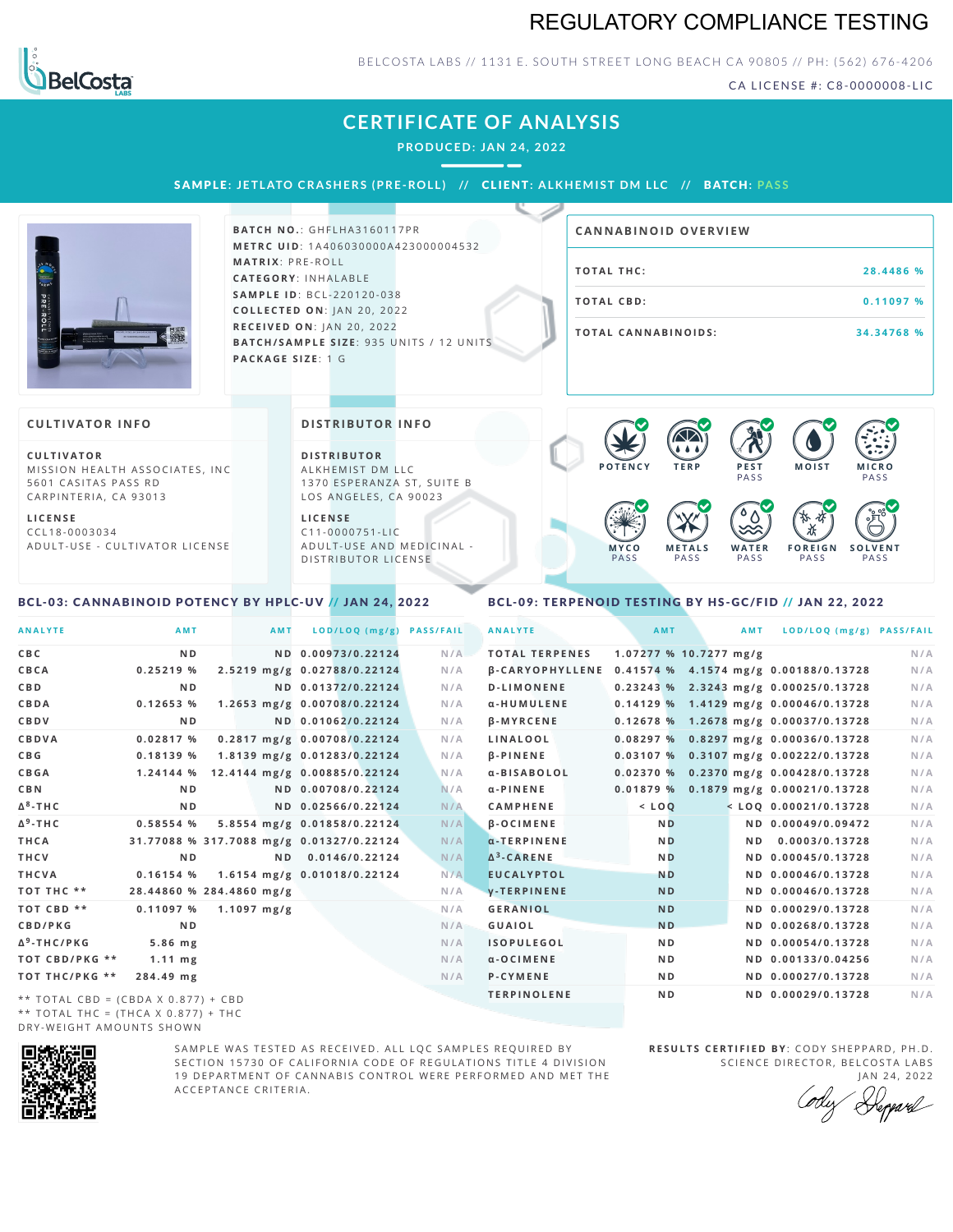### REGULATORY COMPLIANCE TESTING



#### BELCOSTA LABS // 1131 E. SOUTH STREET LONG BEACH CA 90805 // PH: (562) 676-4206

CA LICENSE #: C8-0000008-LIC

**M O IS T M IC R O**

**F O R E I G N**

PA S S

**S O L V E N T**

### **CERTIFICATE OF ANALYSIS**

**PRODUCED: JAN 24, 2022**

SAMPLE: JETLATO CRASHERS (PRE-ROLL) // CLIENT: ALKHEMIST DM LLC // BATCH: PASS



**BATCH NO.: GHFLHA3160117PR M E T R C U ID** :1 A 4 0 6 0 3 0 0 0 0 A 4 2 3 0 0 0 0 0 4 5 3 2 **M AT R I X** :P R E - R O L L **CAT E G O R Y** : I N H A L A B L E **SA M P L E I D** :B C L - 2 2 0 1 2 0 - 0 3 8 **C O L L E C T E D O N** :J A N 2 0 , 2 0 2 2 **R E C E I V E D O N** : J A N 2 0 ,2 0 2 2 **BATCH/SAMPLE SIZE: 935 UNITS / 12 UNITS PAC KA G E S I Z E** : 1 G

# **T O TAL T H C :2 8 . 4 4 8 6 % TOTAL CBD:** 0.11097 % **T O TAL CA N N ABI N O I D S : 3 4 . 3 4 7 6 8 % CA N N ABI N OID OVERVI EW**

#### **CULTIVATOR I N FO**

**C U L T I VAT O R** MISSION HEALTH ASSOCIATES, INC 5601 CASITAS PASS RD CARPINTERIA, CA 93013

**L I C E N S E** C C L 1 8 - 0 0 0 3 0 3 4 A D U L T - U S E - C U L T I V A T O R L I C E N S E **DI STRIBUTOR I N FO**

**D I S T R IB U T O R** ALKHEMIST DM LLC 1370 ESPERANZA ST, SUITE B LOS ANGELES, CA 90023

**L I C E N S E**  $C11 - 0000751 - L$ A D U L T - U S E A N D M E D I C I N A L -DISTRIBUTOR LICENSE

#### PA S S **M E T A L S** PA S S PA S S PA S S PA S S

**P O T E N C Y T E R P P E S T**

**PASS** 

 $\bullet$  60 60 60 60

 $\bullet$  6.0 6.0 6.0

**W A T E R**

#### <span id="page-0-0"></span>BCL-03: CANNABINOID POTENCY BY HPLC-UV // JAN 24, 2022

#### <span id="page-0-1"></span>BCL-09: TERPENOID TESTING BY HS-GC/FID // JAN 22, 2022

**M Y C O**

| <b>ANALYTE</b>                      | AMT                                      | <b>AMT</b>                   | LOD/LOQ (mg/g)     | <b>PASS/FAIL</b> | <b>ANALYTE</b>        |  | AMT            |                        | AMT            | LOD/LOQ (mg/g) PASS/FAIL                              |     |
|-------------------------------------|------------------------------------------|------------------------------|--------------------|------------------|-----------------------|--|----------------|------------------------|----------------|-------------------------------------------------------|-----|
| C B C                               | N <sub>D</sub>                           |                              | ND 0.00973/0.22124 | N/A              | <b>TOTAL TERPENES</b> |  |                | 1.07277 % 10.7277 mg/g |                |                                                       | N/A |
| CBCA                                | 0.25219%                                 | 2.5219 mg/g 0.02788/0.22124  |                    | N/A              |                       |  |                |                        |                | β-CARYOPHYLLENE 0.41574 % 4.1574 mg/g 0.00188/0.13728 | N/A |
| C B D                               | N <sub>D</sub>                           |                              | ND 0.01372/0.22124 | N/A              | <b>D-LIMONENE</b>     |  |                |                        |                | 0.23243 % 2.3243 mg/g 0.00025/0.13728                 | N/A |
| <b>CBDA</b>                         | 0.12653%                                 | 1.2653 mg/g 0.00708/0.22124  |                    | N/A              | α-HUMULENE            |  |                |                        |                | $0.14129\%$ 1.4129 mg/g 0.00046/0.13728               | N/A |
| CBDV                                | N <sub>D</sub>                           |                              | ND 0.01062/0.22124 | N/A              | <b>B-MYRCENE</b>      |  |                |                        |                | 0.12678 % 1.2678 mg/g 0.00037/0.13728                 | N/A |
| CBDVA                               | 0.02817%                                 | 0.2817 mg/g 0.00708/0.22124  |                    | N/A              | LINALOOL              |  |                |                        |                | 0.08297 % 0.8297 mg/g 0.00036/0.13728                 | N/A |
| C B G                               | 0.18139%                                 | 1.8139 mg/g 0.01283/0.22124  |                    | N/A              | <b>B-PINENE</b>       |  |                |                        |                | 0.03107 % 0.3107 mg/g 0.00222/0.13728                 | N/A |
| <b>CBGA</b>                         | 1.24144 %                                | 12.4144 mg/g 0.00885/0.22124 |                    | N/A              | a-BISABOLOL           |  |                |                        |                | 0.02370 % 0.2370 mg/g 0.00428/0.13728                 | N/A |
| C B N                               | N <sub>D</sub>                           |                              | ND 0.00708/0.22124 | N/A              | $\alpha$ -PINENE      |  |                |                        |                | 0.01879 % 0.1879 mg/g 0.00021/0.13728                 | N/A |
| Δ <sup>8</sup> -ΤΗ C                | N <sub>D</sub>                           |                              | ND 0.02566/0.22124 | N/A              | <b>CAMPHENE</b>       |  | $<$ LOQ        |                        |                | $<$ LOQ 0.00021/0.13728                               | N/A |
| Δ <sup>9</sup> -ΤΗ C                | 0.58554 %                                | 5.8554 mg/g 0.01858/0.22124  |                    | N/A              | <b>B-OCIMENE</b>      |  | <b>ND</b>      |                        |                | ND 0.00049/0.09472                                    | N/A |
| THCA                                | 31.77088 % 317.7088 mg/g 0.01327/0.22124 |                              |                    | N/A              | $\alpha$ -TERPINENE   |  | <b>ND</b>      |                        | N <sub>D</sub> | 0.0003/0.13728                                        | N/A |
| THCV                                | N <sub>D</sub>                           |                              | ND 0.0146/0.22124  | N/A              | $\Delta^3$ -CARENE    |  | <b>ND</b>      |                        |                | ND 0.00045/0.13728                                    | N/A |
| THCVA                               | 0.16154%                                 | 1.6154 mg/g 0.01018/0.22124  |                    | N/A              | <b>EUCALYPTOL</b>     |  | <b>ND</b>      |                        |                | ND 0.00046/0.13728                                    | N/A |
| тот тнс **                          | 28.44860 % 284.4860 mg/g                 |                              |                    | N/A              | <b>V-TERPINENE</b>    |  | <b>ND</b>      |                        |                | ND 0.00046/0.13728                                    | N/A |
| TOT CBD **                          | 0.11097%                                 | $1.1097 \text{ mg/g}$        |                    | N/A              | <b>GERANIOL</b>       |  | <b>ND</b>      |                        |                | ND 0.00029/0.13728                                    | N/A |
| <b>CBD/PKG</b>                      | N <sub>D</sub>                           |                              |                    | N/A              | <b>GUAIOL</b>         |  | <b>ND</b>      |                        |                | ND 0.00268/0.13728                                    | N/A |
| Δ <sup>9</sup> -THC/PKG             | 5.86 mg                                  |                              |                    | N/A              | <b>ISOPULEGOL</b>     |  | N <sub>D</sub> |                        |                | ND 0.00054/0.13728                                    | N/A |
| ТОТ СВD/РКG **                      | $1.11$ mg                                |                              |                    | N/A              | $\alpha$ -OCIMENE     |  | N <sub>D</sub> |                        |                | ND 0.00133/0.04256                                    | N/A |
| ТОТ ТНС/РКG **                      | 284.49 mg                                |                              |                    | N/A              | P-CYMENE              |  | N <sub>D</sub> |                        |                | ND 0.00027/0.13728                                    | N/A |
| ** TOTAL CRD = (CRDA Y 0 877) + CRD |                                          |                              |                    |                  | <b>TERPINOLENE</b>    |  | N <sub>D</sub> |                        |                | ND 0.00029/0.13728                                    | N/A |

\* \* T O T A L C B D = ( C B D A X 0 . 8 7 7 ) + C B D \*\* TOTAL THC = (THCA X  $0.877$ ) + THC DRY-WEIGHT AMOUNTS SHOWN



SAMPLE WAS TESTED AS RECEIVED. ALL LOC SAMPLES REOUIRED BY SECTION 15730 OF CALIFORNIA CODE OF REGULATIONS TITLE 4 DIVISION 19 DEPARTMENT OF CANNABIS CONTROL WERE PERFORMED AND MET THE A C C E P T A N C E C R I T E R I A .

**RESULTS CERTIFIED BY: CODY SHEPPARD, PH.D.** SCIENCE DIRECTOR, BELCOSTA LABS JAN 24, 2022

Depard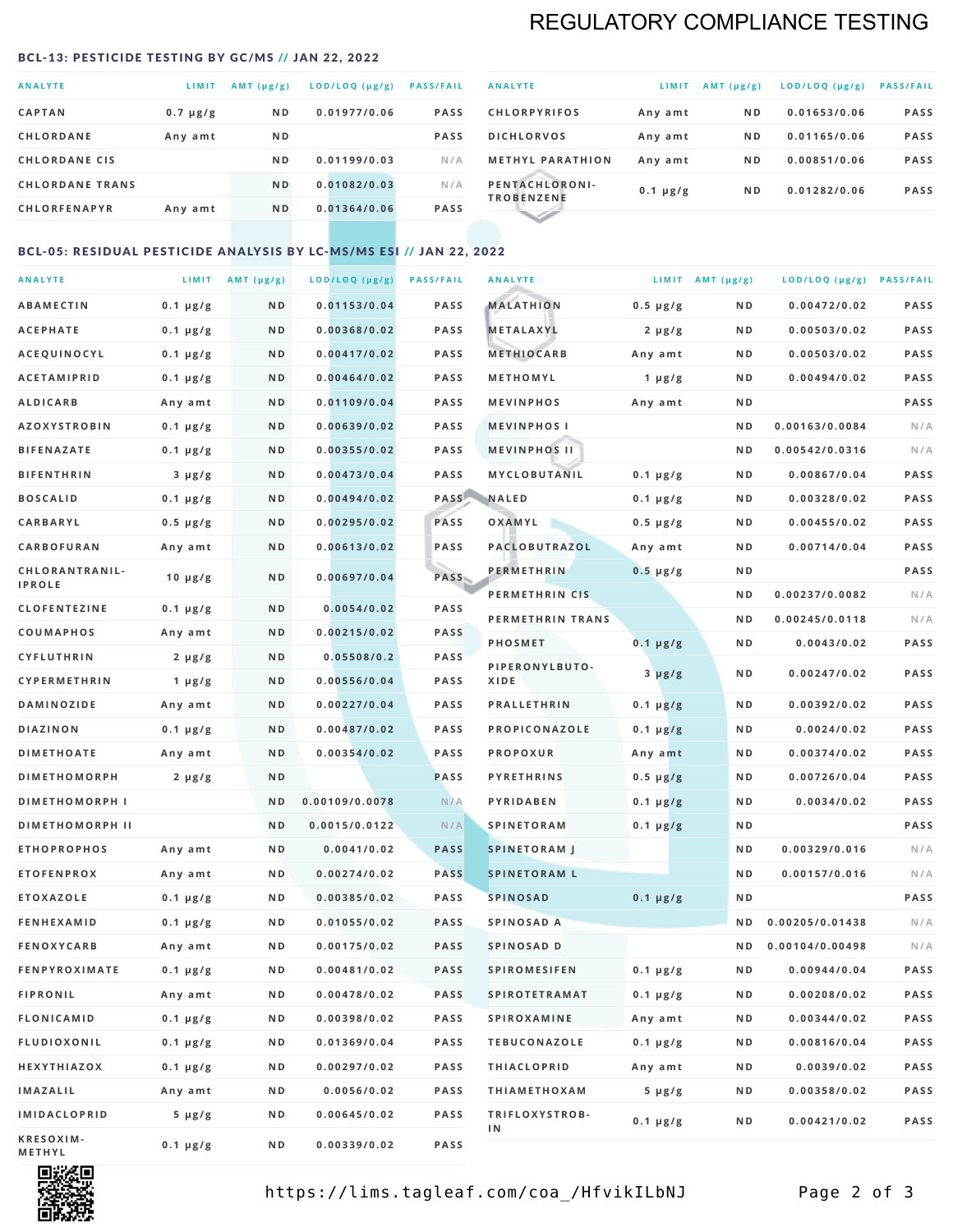### REGULATORY COMPLIANCE TESTING

#### <span id="page-1-0"></span>BCL-13: PESTICIDE TESTING BY GC/MS // JAN 22, 2022

| <b>ANALYTE</b>         | LIMIT         | AMT $(\mu g/g)$ | LOD/LOQ (µg/g) | <b>PASS/FAIL</b> |
|------------------------|---------------|-----------------|----------------|------------------|
| <b>CAPTAN</b>          | $0.7 \mu g/g$ | N <sub>D</sub>  | 0.01977/0.06   | <b>PASS</b>      |
| <b>CHLORDANE</b>       | Any amt       | N <sub>D</sub>  |                | <b>PASS</b>      |
| <b>CHLORDANE CIS</b>   |               | N <sub>D</sub>  | 0.01199/0.03   | N/A              |
| <b>CHLORDANE TRANS</b> |               | N <sub>D</sub>  | 0.01082/0.03   | N/A              |
| <b>CHLORFENAPYR</b>    | Any amt       | N <sub>D</sub>  | 0.01364/0.06   | <b>PASS</b>      |
|                        |               |                 |                |                  |

| <b>ANALYTE</b>                      | LIMIT         | $AMT(\mu g/g)$ | LOD/LOQ (µg/g) | <b>PASS/FAIL</b> |
|-------------------------------------|---------------|----------------|----------------|------------------|
| <b>CHLORPYRIFOS</b>                 | Any amt       | N <sub>D</sub> | 0.01653/0.06   | <b>PASS</b>      |
| <b>DICHLORVOS</b>                   | Any amt       | N <sub>D</sub> | 0.01165/0.06   | <b>PASS</b>      |
| <b>METHYL PARATHION</b>             | Any amt       | N <sub>D</sub> | 0.00851/0.06   | <b>PASS</b>      |
| PENTACHLORONI-<br><b>TROBENZENE</b> | $0.1 \mu g/g$ | N <sub>D</sub> | 0.01282/0.06   | <b>PASS</b>      |
|                                     |               |                |                |                  |

### BCL-05: RESIDUAL PESTICIDE ANALYSIS BY LC-MS/MS ESI // JAN 22, 2022

| <b>ANALYTE</b>         |                  | LIMIT $AMT (\mu g/g)$ | LOD/LOQ (µg/g) | <b>PASS/FAIL</b> | <b>ANALYTE</b>       |                  | LIMIT AMT $(\mu g/g)$ | LOD/LOQ (µg/g) PASS/FAIL |             |
|------------------------|------------------|-----------------------|----------------|------------------|----------------------|------------------|-----------------------|--------------------------|-------------|
| <b>ABAMECTIN</b>       | $0.1 \mu g/g$    | N D                   | 0.01153/0.04   | <b>PASS</b>      | <b>MALATHION</b>     | $0.5 \mu g/g$    | N D                   | 0.00472/0.02             | <b>PASS</b> |
| <b>ACEPHATE</b>        | $0.1 \mu g/g$    | N D                   | 0.00368/0.02   | <b>PASS</b>      | <b>METALAXYL</b>     | $2 \mu g/g$      | N D                   | 0.00503/0.02             | PASS        |
| ACEQUINOCYL            | $0.1 \mu g/g$    | N D                   | 0.00417/0.02   | <b>PASS</b>      | <b>METHIOCARB</b>    | Any amt          | N D                   | 0.00503/0.02             | PASS        |
| <b>ACETAMIPRID</b>     | $0.1 \mu g/g$    | N D                   | 0.00464/0.02   | PASS             | METHOMYL             | 1 $\mu$ g/g      | N D                   | 0.00494/0.02             | PASS        |
| <b>ALDICARB</b>        | Any amt          | ND                    | 0.01109/0.04   | <b>PASS</b>      | <b>MEVINPHOS</b>     | Any amt          | N D                   |                          | PASS        |
| <b>AZOXYSTROBIN</b>    | $0.1 \mu g/g$    | N D                   | 0.00639/0.02   | <b>PASS</b>      | <b>MEVINPHOSI</b>    |                  | N D                   | 0.00163/0.0084           | N/A         |
| <b>BIFENAZATE</b>      | $0.1 \mu g/g$    | N D                   | 0.00355/0.02   | <b>PASS</b>      | <b>MEVINPHOS II</b>  |                  | N D                   | 0.00542/0.0316           | N/A         |
| <b>BIFENTHRIN</b>      | $3 \mu g/g$      | ND                    | 0.00473/0.04   | <b>PASS</b>      | MYCLOBUTANIL         | $0.1 \mu g/g$    | N D                   | 0.00867/0.04             | PASS        |
| <b>BOSCALID</b>        | $0.1 \mu g/g$    | N D                   | 0.00494/0.02   |                  | PASS NALED           | 0.1 µg/g         | N D                   | 0.00328/0.02             | PASS        |
| CARBARYL               | $0.5 \, \mu g/g$ | N D                   | 0.00295/0.02   | PASS             | OXAMYL               | $0.5 \, \mu g/g$ | N D                   | 0.00455/0.02             | PASS        |
| CARBOFURAN             | Any amt          | N D                   | 0.00613/0.02   | PASS             | PACLOBUTRAZOL        | Any amt          | N D                   | 0.00714/0.04             | PASS        |
| CHLORANTRANIL-         | $10 \mu g/g$     | N D                   | 0.00697/0.04   | PASS             | <b>PERMETHRIN</b>    | $0.5 \mu g/g$    | N D                   |                          | PASS        |
| <b>IPROLE</b>          |                  |                       |                |                  | PERMETHRIN CIS       |                  | N D                   | 0.00237/0.0082           | N/A         |
| <b>CLOFENTEZINE</b>    | $0.1 \mu g/g$    | N D                   | 0.0054/0.02    | <b>PASS</b>      | PERMETHRIN TRANS     |                  | N D                   | 0.00245/0.0118           | N/A         |
| COUMAPHOS              | Any amt          | N D                   | 0.00215/0.02   | PASS             | <b>PHOSMET</b>       | $0.1 \mu g/g$    | N D                   | 0.0043/0.02              | PASS        |
| CYFLUTHRIN             | $2 \mu g/g$      | N D                   | 0.05508/0.2    | <b>PASS</b>      | PIPERONYLBUTO-       | $3 \mu g/g$      | N D                   | 0.00247/0.02             | PASS        |
| <b>CYPERMETHRIN</b>    | 1 $\mu$ g/g      | N D                   | 0.00556/0.04   | <b>PASS</b>      | XIDE                 |                  |                       |                          |             |
| <b>DAMINOZIDE</b>      | Any amt          | N D                   | 0.00227/0.04   | PASS             | <b>PRALLETHRIN</b>   | $0.1 \mu g/g$    | N D                   | 0.00392/0.02             | PASS        |
| <b>DIAZINON</b>        | $0.1 \mu g/g$    | N D                   | 0.00487/0.02   | <b>PASS</b>      | PROPICONAZOLE        | $0.1 \mu g/g$    | N D                   | 0.0024/0.02              | PASS        |
| <b>DIMETHOATE</b>      | Any amt          | N D                   | 0.00354/0.02   | <b>PASS</b>      | <b>PROPOXUR</b>      | Any amt          | N D                   | 0.00374/0.02             | PASS        |
| <b>DIMETHOMORPH</b>    | $2 \mu g/g$      | N D                   |                | <b>PASS</b>      | <b>PYRETHRINS</b>    | $0.5 \mu g/g$    | N D                   | 0.00726/0.04             | PASS        |
| <b>DIMETHOMORPH I</b>  |                  | N D                   | 0.00109/0.0078 | N/A              | <b>PYRIDABEN</b>     | $0.1 \mu g/g$    | N D                   | 0.0034/0.02              | PASS        |
| <b>DIMETHOMORPH II</b> |                  | ND                    | 0.0015/0.0122  | N/A              | <b>SPINETORAM</b>    | $0.1 \mu g/g$    | N D                   |                          | PASS        |
| <b>ETHOPROPHOS</b>     | Any amt          | N D                   | 0.0041/0.02    | <b>PASS</b>      | <b>SPINETORAM J</b>  |                  | N D                   | 0.00329/0.016            | N/A         |
| <b>ETOFENPROX</b>      | Any amt          | N D                   | 0.00274/0.02   | <b>PASS</b>      | <b>SPINETORAM L</b>  |                  | N D                   | 0.00157/0.016            | N/A         |
| <b>ETOXAZOLE</b>       | $0.1 \mu g/g$    | N D                   | 0.00385/0.02   | PASS             | <b>SPINOSAD</b>      | $0.1 \mu g/g$    | N D                   |                          | PASS        |
| <b>FENHEXAMID</b>      | $0.1 \mu g/g$    | N D                   | 0.01055/0.02   | <b>PASS</b>      | SPINOSAD A           |                  | N D                   | 0.00205/0.01438          | N/A         |
| <b>FENOXYCARB</b>      | Any amt          | N D                   | 0.00175/0.02   | <b>PASS</b>      | SPINOSAD D           |                  | N D                   | 0.00104/0.00498          | N/A         |
| <b>FENPYROXIMATE</b>   | 0.1 µg/g         | N D                   | 0.00481/0.02   | <b>PASS</b>      | SPIROMESIFEN         | 0.1 µg/g         | N D                   | 0.00944/0.04             | PASS        |
| <b>FIPRONIL</b>        | Any amt          | N D                   | 0.00478/0.02   | PASS             | <b>SPIROTETRAMAT</b> | $0.1 \, \mu g/g$ | N D                   | 0.00208/0.02             | PASS        |
| FLONICAMID             | $0.1 \mu g/g$    | N D                   | 0.00398/0.02   | PASS             | SPIROXAMINE          | Any amt          | N D                   | 0.00344/0.02             | PASS        |
| <b>FLUDIOXONIL</b>     | $0.1 \mu g/g$    | N D                   | 0.01369/0.04   | PASS             | <b>TEBUCONAZOLE</b>  | $0.1 \mu g/g$    | N D                   | 0.00816/0.04             | PASS        |
| HEXYTHIAZOX            | $0.1 \mu g/g$    | N D                   | 0.00297/0.02   | PASS             | <b>THIACLOPRID</b>   | Any amt          | N D                   | 0.0039/0.02              | PASS        |
| <b>IMAZALIL</b>        | Any amt          | N D                   | 0.0056/0.02    | PASS             | <b>THIAMETHOXAM</b>  | $5 \mu g/g$      | N D                   | 0.00358/0.02             | PASS        |
| <b>IMIDACLOPRID</b>    | 5 µg/g           | N D                   | 0.00645/0.02   | <b>PASS</b>      | TRIFLOXYSTROB-<br>ΙN | $0.1 \mu g/g$    | N D                   | 0.00421/0.02             | PASS        |
| KRESOXIM-<br>METHYL    | $0.1 \mu g/g$    | N D                   | 0.00339/0.02   | PASS             |                      |                  |                       |                          |             |